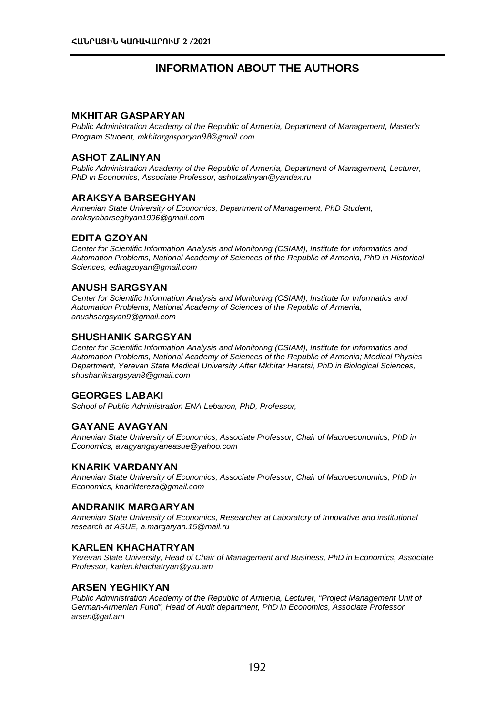# **INFORMATION ABOUT THE AUTHORS**

#### **MKHITAR GASPARYAN**

*Public Administration Academy of the Republic of Armenia, Department of Management, Master's Program Student, [mkhitargasparyan98@gmail.com](mailto:mkhitargasparyan98@gmail.com)*

#### **ASHOT ZALINYAN**

*Public Administration Academy of the Republic of Armenia, Department of Management, Lecturer, PhD in Economics, Associate Professor, ashotzalinyan@yandex.ru*

# **ARAKSYA BARSEGHYAN**

*Armenian State University of Economics, Department of Management, PhD Student, araksyabarseghyan1996@gmail.com*

#### **EDITA GZOYAN**

*Center for Scientific Information Analysis and Monitoring (CSIAM), Institute for Informatics and Automation Problems, National Academy of Sciences of the Republic of Armenia, PhD in Historical Sciences, [editagzoyan@gmail.com](mailto:editagzoyan@gmail.com)*

# **ANUSH SARGSYAN**

*Center for Scientific Information Analysis and Monitoring (CSIAM), Institute for Informatics and Automation Problems, National Academy of Sciences of the Republic of Armenia, anushsargsyan9@gmail.com*

#### **SHUSHANIK SARGSYAN**

*Center for Scientific Information Analysis and Monitoring (CSIAM), Institute for Informatics and Automation Problems, National Academy of Sciences of the Republic of Armenia; Medical Physics Department, Yerevan State Medical University After Mkhitar Heratsi, PhD in Biological Sciences, [shushaniksargsyan8@gmail.com](mailto:shushaniksargsyan8@gmail.com)*

# **GEORGES LABAKI**

*School of Public Administration ENA Lebanon, PhD, Professor,*

# **GAYANE AVAGYAN**

*Armenian State University of Economics, Associate Professor, Chair of Macroeconomics, PhD in Economics[, avagyangayaneasue@yahoo.com](mailto:avagyangayaneasue@yahoo.com)*

#### **KNARIK VARDANYAN**

*Armenian State University of Economics, Associate Professor, Chair of Macroeconomics, PhD in Economics, knariktereza@gmail.com*

#### **ANDRANIK MARGARYAN**

*Armenian State University of Economics, Researcher at Laboratory of Innovative and institutional research at ASUE[, a.margaryan.15@mail.ru](mailto:a.margaryan.15@mail.ru)*

#### **KARLEN KHACHATRYAN**

*Yerevan State University, Head of Chair of Management and Business, PhD in Economics, Associate Professor[, karlen.khachatryan@ysu.am](mailto:karlen.khachatryan@ysu.am)*

# **ARSEN YEGHIKYAN**

*Public Administration Academy of the Republic of Armenia, Lecturer, "Project Management Unit of German-Armenian Fund", Head of Audit department, PhD in Economics, Associate Professor, [arsen@gaf.am](mailto:arsen@gaf.am)*